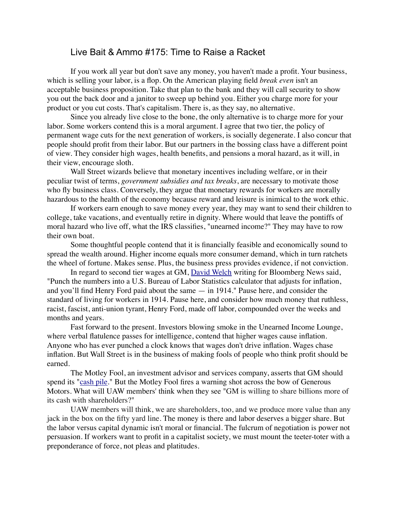## Live Bait & Ammo #175: Time to Raise a Racket

If you work all year but don't save any money, you haven't made a profit. Your business, which is selling your labor, is a flop. On the American playing field *break even* isn't an acceptable business proposition. Take that plan to the bank and they will call security to show you out the back door and a janitor to sweep up behind you. Either you charge more for your product or you cut costs. That's capitalism. There is, as they say, no alternative.

Since you already live close to the bone, the only alternative is to charge more for your labor. Some workers contend this is a moral argument. I agree that two tier, the policy of permanent wage cuts for the next generation of workers, is socially degenerate. I also concur that people should profit from their labor. But our partners in the bossing class have a different point of view. They consider high wages, health benefits, and pensions a moral hazard, as it will, in their view, encourage sloth.

Wall Street wizards believe that monetary incentives including welfare, or in their peculiar twist of terms, *government subsidies and tax breaks*, are necessary to motivate those who fly business class. Conversely, they argue that monetary rewards for workers are morally hazardous to the health of the economy because reward and leisure is inimical to the work ethic.

If workers earn enough to save money every year, they may want to send their children to college, take vacations, and eventually retire in dignity. Where would that leave the pontiffs of moral hazard who live off, what the IRS classifies, "unearned income?" They may have to row their own boat.

Some thoughtful people contend that it is financially feasible and economically sound to spread the wealth around. Higher income equals more consumer demand, which in turn ratchets the wheel of fortune. Makes sense. Plus, the business press provides evidence, if not conviction.

In regard to second tier wages at GM, [David Welch](http://www.crainsdetroit.com/article/20150307/NEWS01/150309871/how-new-autoworkers-became-second-class-employees) writing for Bloomberg News said, "Punch the numbers into a U.S. Bureau of Labor Statistics calculator that adjusts for inflation, and you'll find Henry Ford paid about the same — in 1914." Pause here, and consider the standard of living for workers in 1914. Pause here, and consider how much money that ruthless, racist, fascist, anti-union tyrant, Henry Ford, made off labor, compounded over the weeks and months and years.

 Fast forward to the present. Investors blowing smoke in the Unearned Income Lounge, where verbal flatulence passes for intelligence, contend that higher wages cause inflation. Anyone who has ever punched a clock knows that wages don't drive inflation. Wages chase inflation. But Wall Street is in the business of making fools of people who think profit should be earned.

The Motley Fool, an investment advisor and services company, asserts that GM should spend its ["cash pile.](http://www.fool.com/investing/general/2015/03/14/recent-event-questions-if-general-motors-has-truly.aspx)" But the Motley Fool fires a warning shot across the bow of Generous Motors. What will UAW members' think when they see "GM is willing to share billions more of its cash with shareholders?"

UAW members will think, we are shareholders, too, and we produce more value than any jack in the box on the fifty yard line. The money is there and labor deserves a bigger share. But the labor versus capital dynamic isn't moral or financial. The fulcrum of negotiation is power not persuasion. If workers want to profit in a capitalist society, we must mount the teeter-toter with a preponderance of force, not pleas and platitudes.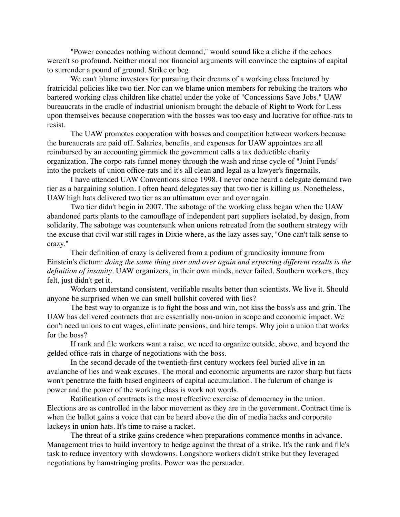"Power concedes nothing without demand," would sound like a cliche if the echoes weren't so profound. Neither moral nor financial arguments will convince the captains of capital to surrender a pound of ground. Strike or beg.

We can't blame investors for pursuing their dreams of a working class fractured by fratricidal policies like two tier. Nor can we blame union members for rebuking the traitors who bartered working class children like chattel under the yoke of "Concessions Save Jobs." UAW bureaucrats in the cradle of industrial unionism brought the debacle of Right to Work for Less upon themselves because cooperation with the bosses was too easy and lucrative for office-rats to resist.

The UAW promotes cooperation with bosses and competition between workers because the bureaucrats are paid off. Salaries, benefits, and expenses for UAW appointees are all reimbursed by an accounting gimmick the government calls a tax deductible charity organization. The corpo-rats funnel money through the wash and rinse cycle of "Joint Funds" into the pockets of union office-rats and it's all clean and legal as a lawyer's fingernails.

I have attended UAW Conventions since 1998. I never once heard a delegate demand two tier as a bargaining solution. I often heard delegates say that two tier is killing us. Nonetheless, UAW high hats delivered two tier as an ultimatum over and over again.

Two tier didn't begin in 2007. The sabotage of the working class began when the UAW abandoned parts plants to the camouflage of independent part suppliers isolated, by design, from solidarity. The sabotage was countersunk when unions retreated from the southern strategy with the excuse that civil war still rages in Dixie where, as the lazy asses say, "One can't talk sense to crazy."

Their definition of crazy is delivered from a podium of grandiosity immune from Einstein's dictum: *doing the same thing over and over again and expecting different results is the definition of insanity*. UAW organizers, in their own minds, never failed. Southern workers, they felt, just didn't get it.

Workers understand consistent, verifiable results better than scientists. We live it. Should anyone be surprised when we can smell bullshit covered with lies?

The best way to organize is to fight the boss and win, not kiss the boss's ass and grin. The UAW has delivered contracts that are essentially non-union in scope and economic impact. We don't need unions to cut wages, eliminate pensions, and hire temps. Why join a union that works for the boss?

If rank and file workers want a raise, we need to organize outside, above, and beyond the gelded office-rats in charge of negotiations with the boss.

In the second decade of the twentieth-first century workers feel buried alive in an avalanche of lies and weak excuses. The moral and economic arguments are razor sharp but facts won't penetrate the faith based engineers of capital accumulation. The fulcrum of change is power and the power of the working class is work not words.

Ratification of contracts is the most effective exercise of democracy in the union. Elections are as controlled in the labor movement as they are in the government. Contract time is when the ballot gains a voice that can be heard above the din of media hacks and corporate lackeys in union hats. It's time to raise a racket.

The threat of a strike gains credence when preparations commence months in advance. Management tries to build inventory to hedge against the threat of a strike. It's the rank and file's task to reduce inventory with slowdowns. Longshore workers didn't strike but they leveraged negotiations by hamstringing profits. Power was the persuader.